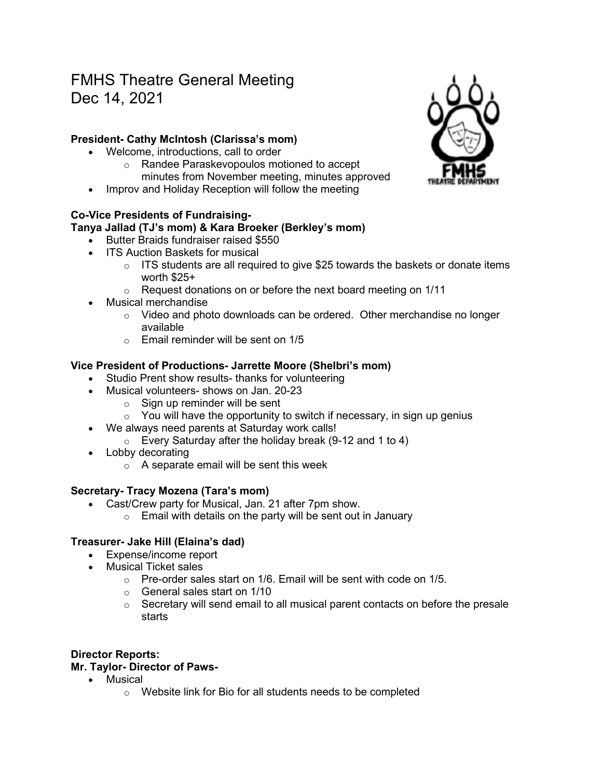# FMHS Theatre General Meeting Dec 14, 2021

## **President- Cathy McIntosh (Clarissa's mom)**

- Welcome, introductions, call to order
	- o Randee Paraskevopoulos motioned to accept minutes from November meeting, minutes approved
- Improv and Holiday Reception will follow the meeting

### **Co-Vice Presidents of Fundraising-**

## **Tanya Jallad (TJ's mom) & Kara Broeker (Berkley's mom)**

- Butter Braids fundraiser raised \$550
	- ITS Auction Baskets for musical
		- $\circ$  ITS students are all required to give \$25 towards the baskets or donate items worth \$25+
		- $\circ$  Request donations on or before the next board meeting on 1/11
- Musical merchandise
	- $\circ$  Video and photo downloads can be ordered. Other merchandise no longer available
	- $\circ$  Email reminder will be sent on 1/5

### **Vice President of Productions- Jarrette Moore (Shelbri's mom)**

- Studio Prent show results- thanks for volunteering
- Musical volunteers- shows on Jan. 20-23
	- $\circ$  Sign up reminder will be sent
	- $\circ$  You will have the opportunity to switch if necessary, in sign up genius
- We always need parents at Saturday work calls!
	- $\circ$  Every Saturday after the holiday break (9-12 and 1 to 4)
- Lobby decorating
	- $\circ$  A separate email will be sent this week

### **Secretary- Tracy Mozena (Tara's mom)**

- Cast/Crew party for Musical, Jan. 21 after 7pm show.
	- $\circ$  Email with details on the party will be sent out in January

### **Treasurer- Jake Hill (Elaina's dad)**

- Expense/income report
- Musical Ticket sales
	- $\circ$  Pre-order sales start on 1/6. Email will be sent with code on 1/5.
	- o General sales start on 1/10
	- $\circ$  Secretary will send email to all musical parent contacts on before the presale starts

### **Director Reports:**

#### **Mr. Taylor- Director of Paws-**

- Musical
	- o Website link for Bio for all students needs to be completed